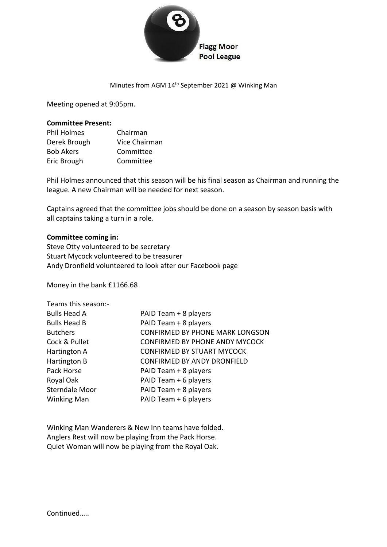

### Minutes from AGM 14<sup>th</sup> September 2021 @ Winking Man

Meeting opened at 9:05pm.

#### **Committee Present:**

| <b>Phil Holmes</b> | Chairman      |
|--------------------|---------------|
| Derek Brough       | Vice Chairman |
| <b>Bob Akers</b>   | Committee     |
| Eric Brough        | Committee     |

Phil Holmes announced that this season will be his final season as Chairman and running the league. A new Chairman will be needed for next season.

Captains agreed that the committee jobs should be done on a season by season basis with all captains taking a turn in a role.

### **Committee coming in:**

Steve Otty volunteered to be secretary Stuart Mycock volunteered to be treasurer Andy Dronfield volunteered to look after our Facebook page

Money in the bank £1166.68

| Teams this season:-   |                                        |
|-----------------------|----------------------------------------|
| <b>Bulls Head A</b>   | PAID Team + 8 players                  |
| <b>Bulls Head B</b>   | PAID Team + 8 players                  |
| <b>Butchers</b>       | <b>CONFIRMED BY PHONE MARK LONGSON</b> |
| Cock & Pullet         | <b>CONFIRMED BY PHONE ANDY MYCOCK</b>  |
| Hartington A          | <b>CONFIRMED BY STUART MYCOCK</b>      |
| Hartington B          | <b>CONFIRMED BY ANDY DRONFIELD</b>     |
| Pack Horse            | PAID Team + 8 players                  |
| Royal Oak             | PAID Team + 6 players                  |
| <b>Sterndale Moor</b> | PAID Team + 8 players                  |
| <b>Winking Man</b>    | PAID Team + 6 players                  |
|                       |                                        |

Winking Man Wanderers & New Inn teams have folded. Anglers Rest will now be playing from the Pack Horse. Quiet Woman will now be playing from the Royal Oak.